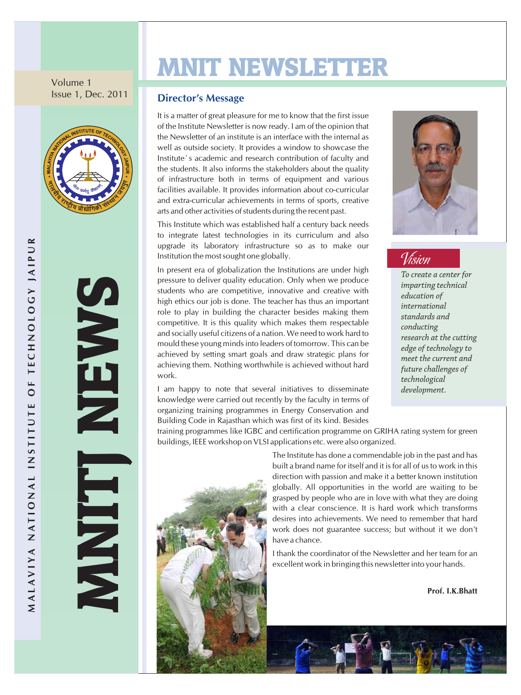Volume 1 Issue 1, Dec. 2011



**SA** 

M Z **ISONE** TJ Z  $\mathbf \Xi$ role<br>
com<br>
and<br>
mou<br>
achi

# MNIT NEWSLETTER

#### **Director's Message**

It is a matter of great pleasure for me to know that the first issue of the Institute Newsletter is now ready. I am of the opinion that the Newsletter of an institute is an interface with the internal as well as outside society. It provides a window to showcase the Institute`s academic and research contribution of faculty and the students. It also informs the stakeholders about the quality of infrastructure both in terms of equipment and various facilities available. It provides information about co-curricular and extra-curricular achievements in terms of sports, creative arts and other activities of students during the recent past.

This Institute which was established half a century back needs to integrate latest technologies in its curriculum and also upgrade its laboratory infrastructure so as to make our Institution the most sought one globally.

In present era of globalization the Institutions are under high pressure to deliver quality education. Only when we produce students who are competitive, innovative and creative with high ethics our job is done. The teacher has thus an important role to play in building the character besides making them competitive. It is this quality which makes them respectable and socially useful citizens of a nation. We need to work hard to mould these young minds into leaders of tomorrow. This can be achieved by setting smart goals and draw strategic plans for achieving them. Nothing worthwhile is achieved without hard work.

I am happy to note that several initiatives to disseminate knowledge were carried out recently by the faculty in terms of organizing training programmes in Energy Conservation and Building Code in Rajasthan which was first of its kind. Besides



#### Vision

*To create a center for imparting technical education of international standards and conducting research at the cutting edge of technology to meet the current and future challenges of technological development.* 

 training programmes like IGBC and certification programme on GRIHA rating system for green buildings, IEEE workshop on VLSI applications etc. were also organized.



The Institute has done a commendable job in the past and has built a brand name for itself and it is for all of us to work in this direction with passion and make it a better known institution globally. All opportunities in the world are waiting to be grasped by people who are in love with what they are doing with a clear conscience. It is hard work which transforms desires into achievements. We need to remember that hard work does not guarantee success; but without it we don't have a chance.

I thank the coordinator of the Newsletter and her team for an excellent work in bringing this newsletter into your hands.

**Prof. I.K.Bhatt**

**R**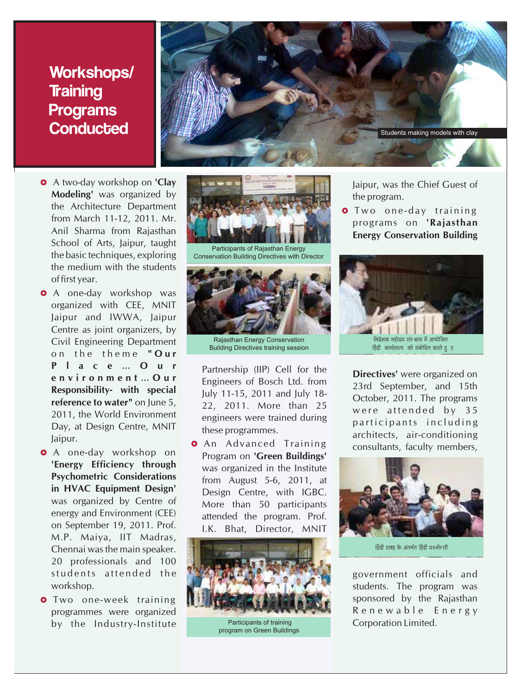#### Workshops/ **Training** Programs **Conducted**

- **•** A two-day workshop on 'Clay School of Arts, Jaipur, taught the basic techniques, exploring the medium with the students of first year.
- **•** A one-day workshop was organized with CEE, MNIT Jaipur and IWWA, Jaipur Centre as joint organizers, by Civil Engineering Department o n t h e t h e m e **" O u r P l a c e** ... **O u r**<br> **e n v i o n n e n t** ... **O u r**<br> **e n v i o n n e n t** ... **O u r**<br> **e n v i o n n e n t** ... **O u r**<br> **e E b**<br>
- **•** A one-day workshop on M.P. Maiya, IIT Madras, Chennai was the main speaker. 20 professionals and 100
- by the Industry-Institute **Participants of training** Corporation Limited.



Participants of Rajasthan Energy Conservation Building Directives with Director



Rajasthan Energy Conservation Building Directives training session

£ Jaipur. An Advanced Training consultants, faculty members, A one-day workshop on Program on **'Green Buildings' The Efficiency through** was organized in the Institute<br> **Psychometric Considerations Psychometric Considerations from August 5-6, 2011, at**<br>**in HVAC Equipment Design'** Dosign Control with JCBC **in HVAC Equipment Design'** Design Centre, with IGBC.<br>Was organized by Centre of More than 50 participants was organized by Centre of More than 50 participants<br>energy and Environment (CEE) attended the program Prof energy and Environment (CEE) attended the program. Prof.<br>on September 19, 2011. Prof. The Rhat Director MANIT I.K. Bhat, Director, MNIT



 Participants of training program on Green Buildings

Jaipur, was the Chief Guest of

**Energy Conservation Building** 





हिंदी सप्तह के अंतर्गत हिंदी प्रश्नोत्तारी

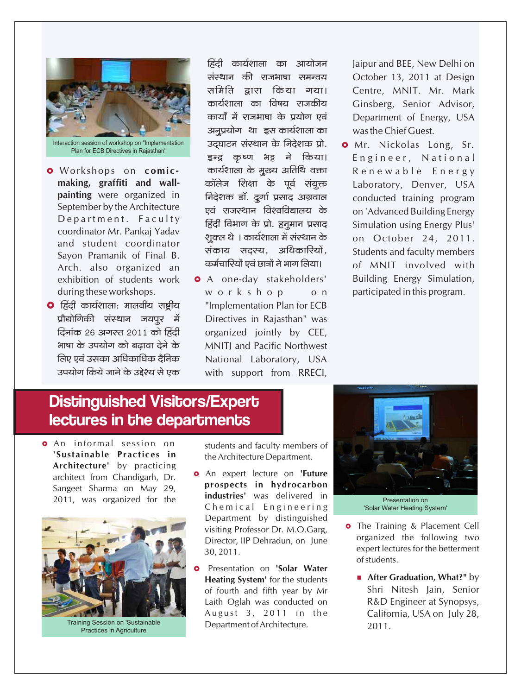

- **O** Workshops on comicmaking, graffiti and wallpainting were organized in September by the Architecture Department. Faculty coordinator Mr. Pankaj Yadav and student coordinator Sayon Pramanik of Final B. Arch. also organized an exhibition of students work during these workshops.
- $\bullet$  हिंदी कार्यशाला: मालवीय राष्ट्रीय प्रौद्योगिकी संस्थान जयपुर में दिनांक २६ अगस्त २०11 को हिंदी भाषा के उपयोग को बढावा देने के लिए एवं उसका अधिकाधिक टैनिक उपयोग किये जाने के उद्देश्य से एक

हिंदी कार्यशाला का आयोजन संस्थान की राजभाषा समन्वय समिति द्वारा किया गया। कार्यशाला का विषय राजकीय कार्यों में राजभाषा के प्रयोग एवं अनूप्रयोग था इस कार्यशाला का उदघाटन संस्थान के निदेशक प्रो. इन्द्र कृष्ण भट्ट ने किया। कार्यशाला के मूख्य अतिथि वक्ता कॉलेज शिक्षा के पूर्व संयुक्त निदेशक डॉ. दूर्गा प्रसाद अग्रवाल एवं राजस्थान विश्वविद्यालय के हिंदी विभाग के प्रो. हनूमान प्रसाद शूक्ल थे । कार्यशाला में संस्थान के संकाय सदस्य, अधिकारियों, कर्मचारियों एवं छात्रों ने भाग लिया।

**O** A one-day stakeholders' workshop  $o<sub>n</sub>$ "Implementation Plan for ECB Directives in Rajasthan" was organized jointly by CEE, **MNITI and Pacific Northwest** National Laboratory, USA with support from RRECI, Jaipur and BEE, New Delhi on October 13, 2011 at Design Centre, MNIT. Mr. Mark Ginsberg, Senior Advisor, Department of Energy, USA was the Chief Guest.

**o** Mr. Nickolas Long, Sr. Engineer, National Renewable Energy Laboratory, Denver, USA conducted training program on 'Advanced Building Energy Simulation using Energy Plus' on October 24, 2011. Students and faculty members of MNIT involved with Building Energy Simulation, participated in this program.

#### **Distinguished Visitors/Expert** lectures in the departments

**o** An informal session on 'Sustainable Practices in Architecture' by practicing architect from Chandigarh, Dr. Sangeet Sharma on May 29, 2011, was organized for the



**Training Session on 'Sustainable** Practices in Agriculture

students and faculty members of the Architecture Department.

- **o** An expert lecture on 'Future prospects in hydrocarbon industries' was delivered in Chemical Engineering Department by distinguished visiting Professor Dr. M.O.Garg, Director, IIP Dehradun, on June 30, 2011.
- Presentation on 'Solar Water **Heating System'** for the students of fourth and fifth year by Mr Laith Oglah was conducted on August 3, 2011 in the Department of Architecture.



Presentation on 'Solar Water Heating System'

- **o** The Training & Placement Cell organized the following two expert lectures for the betterment of students.
	- **After Graduation, What?"** by Shri Nitesh Jain, Senior R&D Engineer at Synopsys, California, USA on July 28,  $2011.$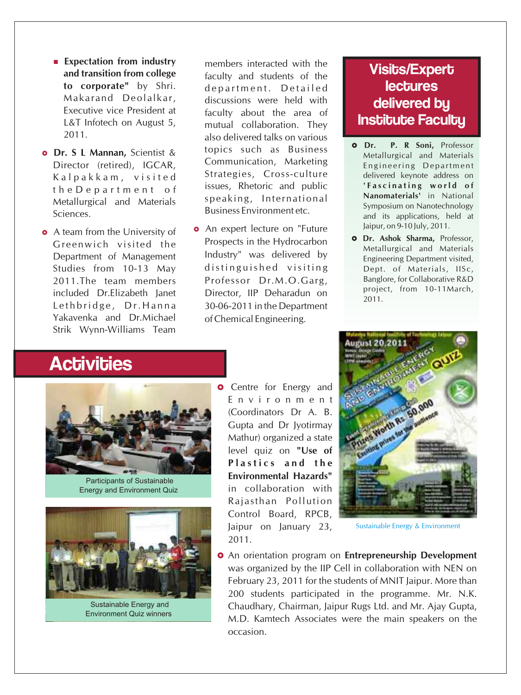- **Expectation from industry**
- the D e p a r t m e n t o f Business Environment etc. Sciences.
- A team from the University of Department of Management Yakavenka and Dr. Michael of Chemical Engineering. Strik Wynn-Williams Team

**o Dr. S L Mannan,** Scientist & topics such as Business **Expectation from industry** and **members** interacted with the **and transition from college** and **function** and **crudents** of the **and transition from college** faculty and students of the **to corporate** by Shri. Aenartment, Detailed **to corporate"** by Shri. department. Detailed<br>Makarand Deolalkar. discussions were held with Makarand Deolalkar, discussions were held with<br>Executive vice President at faculty about the area of Executive vice President at faculty about the area of L&T Infotech on August 5, an entitled collaboration. They L&T Infotech on August 5, mutual collaboration. They<br>2011. also delivered talks on various Director (retired), IGCAR, Communication, Marketing<br>Kalnakkam, visited Strategies, Cross-culture Kalpakkam, visited Strategies, Cross-culture<br>the Department of issues, Rhetoric and public Metallurgical and Materials speaking, International

**•** An expert lecture on "Future G reenwich visited the Prospects in the Hydrocarbon<br>
Department of Management Industry" was delivered by Studies from 10-13 May distinguished visiting 2011.The team members Professor Dr.M.O.Garg, included Dr.Elizabeth Janet Director, IIP Deharadun on Lethbridge, Dr. Hanna 30-06-2011 in the Department

#### Visits/Expert **lectures** delivered by **Institute Faculty**

- £**Dr. P. R Soni,** Professor Metallurgical and Materials Engineering Department delivered keynote address on **' F a s c i n a t i n g w o rl d o f Nanomaterials'** in National Symposium on Nanotechnology and its applications, held at Jaipur, on 9-10 July, 2011.
- **o** Dr. Ashok Sharma, Professor, Metallurgical and Materials Engineering Department visited, Dept. of Materials, IISc, Banglore, for Collaborative R&D project, from 10-11March, 2011.

## **Activities**



 Participants of Sustainable Energy and Environment Quiz



 Sustainable Energy and Environment Quiz winners

**o** Centre for Energy and E n v i r o n m e n t (Coordinators Dr A. B. Gupta and Dr Jyotirmay Mathur) organized a state level quiz on **"Use of P l a s t i c s a n d t h e Environmental Hazards"** in collaboration with Rajasthan Pollution Control Board, RPCB, Jaipur on January 23, 2011.



Sustainable Energy & Environment

£ An orientation program on **Entrepreneurship Development**  was organized by the IIP Cell in collaboration with NEN on February 23, 2011 for the students of MNIT Jaipur. More than 200 students participated in the programme. Mr. N.K. Chaudhary, Chairman, Jaipur Rugs Ltd. and Mr. Ajay Gupta, M.D. Kamtech Associates were the main speakers on the occasion.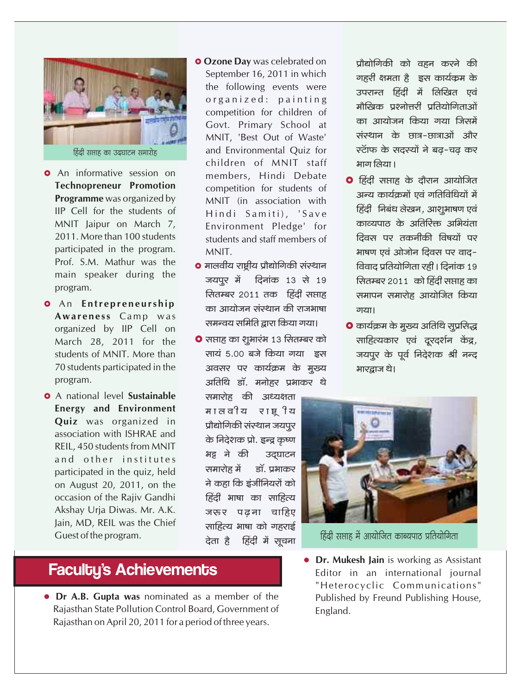

- **o** An informative session on **Technopreneur Promotion** Programme was organized by IIP Cell for the students of MNIT Jaipur on March 7, 2011. More than 100 students participated in the program. Prof. S.M. Mathur was the main speaker during the program.
- **O** An Entrepreneurship Awareness Camp was organized by IIP Cell on March 28, 2011 for the students of MNIT. More than 70 students participated in the program.
- **O** A national level Sustainable Energy and Environment Quiz was organized in association with ISHRAE and REIL, 450 students from MNIT and other institutes participated in the quiz, held on August 20, 2011, on the occasion of the Rajiv Gandhi Akshay Urja Diwas. Mr. A.K. Jain, MD, REIL was the Chief Guest of the program.
- **O** Ozone Day was celebrated on September 16, 2011 in which the following events were organized: painting competition for children of Govt. Primary School at MNIT, 'Best Out of Waste' and Environmental Ouiz for children of MNIT staff members, Hindi Debate competition for students of MNIT (in association with Hindi Samiti), 'Save Environment Pledge' for students and staff members of MNIT.
- **•** मालवीय राष्ट्रीय प्रौद्योगिकी संस्थान जयपूर में दिनांक 13 से 19 सितम्बर 2011 तक हिंदी सप्ताह का आयोजन संस्थान की राजभाषा समन्वय समिति द्वारा किया गया।
- **O** सप्ताह का शूभारंभ 13 सितम्बर को सायं 5.00 बजे किया गया इस अवसर पर कार्यक्रम के मुख्य अतिथि डॉ. मनोहर प्रभाकर थे

समारोह की अध्यक्षता मालवीय राष्ट्रीय प्रौद्योगिकी संस्थान जयपूर के निदेशक प्रो. इन्द्र कृष्ण भट्ट ने की उद्घाटन समारोह में डॉ. प्रभाकर ने कहा कि इंजीनियरों को हिंदी भाषा का साहित्य जरूर पढना चाहिए साहित्य भाषा को गहराई देता है हिंदी में सूचना

#### **Faculty's Achievements**

• Dr A.B. Gupta was nominated as a member of the Rajasthan State Pollution Control Board, Government of Rajasthan on April 20, 2011 for a period of three years.

प्रौद्योगिकी को वहन करने की गहरी क्षमता है इस कार्यक्रम के उपरान्त हिंदी में लिखित एवं मौखिक प्रश्नोत्तरी प्रतियोगिताओं का आयोजन किया गया जिसमें संस्थान के छात्र-छात्राओं और स्टॉफ के सदस्यों ने बढ-चढ कर भाग लिया।

- **O** हिंदी सप्ताह के दौरान आयोजित अन्य कार्यक्रमों एवं गतिविधियों में हिंदी निबंध लेखन, आशूभाषण एवं काव्यपाठ के अतिरिक्त अभियंता दिवस पर तकनीकी विषयों पर भाषण एवं ओजोन दिवस पर वाद-विवाद प्रतियोगिता रही । दिनांक 19 सितम्बर 2011 को हिंदी सप्ताह का समापन समारोह आयोजित किया गया।
- **O** कार्यक्रम के मुख्य अतिथि सूप्रसिद्ध साहित्यकार एवं दूरदर्शन केंद्र, जयपूर के पूर्व निदेशक श्री नन्द भारद्राज थे।



हिंदी सप्ताह में आयोजित काब्यपाठ प्रतियोगिता

• Dr. Mukesh Jain is working as Assistant Editor in an international journal "Heterocyclic Communications" Published by Freund Publishing House, England.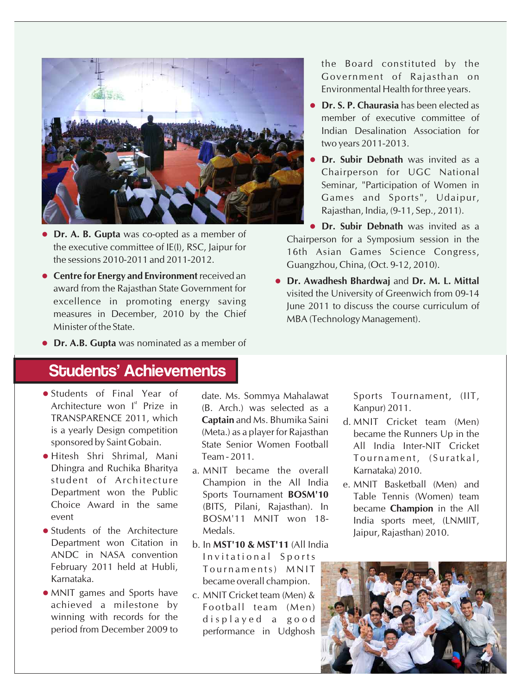

- Dr. A. B. Gupta was co-opted as a member of **Dr. A. B. Gupta** was co-opted as a member of Chairperson for a Symposium session in the the executive committee of IE(I), RSC, Jaipur for a 2.6th Asian Campes Sejange Congress. the executive committee of  $E(t)$ , RSC, Jaipur for  $t = 16$ th Asian Games Science Congress, the sessions 2010-2011 and 2011-2012.
- Centre for Energy and Environment received an **Centre for Energy and Environment** received an **Dr. Awadhesh Bhardwaj** and **Dr. M. L. Mittal** excellence in promoting energy saving measures in December, 2010 by the Chief MBA (Technology Management). Minister of the State.

**Dr. A.B. Gupta** was nominated as a member of

#### Students' Achievements

- Students of Final Year of Students of Final Year of date. Ms. Sommya Mahalawat Sports Tournament, (IIT, Strahlands) Sports Tournament, (IIT,
- · Hitesh Shri Shrimal, Mani
- Students of the Architecture Medals. Jaipur, Rajasthan) 2010. Department won Citation in b. In **MST'10 & MST'11** (All India<br>ANDC in NASA convention Invitational Sports February 2011 held at Hubli, Tournaments) MNIT<br>Karnataka.
- MNIT games and Sports have c. MNIT Cricket team (Men) & achieved a milestone by  $\begin{array}{ccc} 5 \ 1 \ 1 \ 1 \ 1 \end{array}$  Football team (Men) winning with records for the displayed a good winning with records for the displayed a good<br>period from December 2009 to performance in Ildghosh

Architecture won l<sup>\*</sup> Prize in (B. Arch.) was selected as a Kanpur) 2011.<br>TRANSPARENCE 2011, which **Cantain** and Ms Bhumika Saini ad MNUT, Grieke IRANSPARENCE 2011, which **Captain** and Ms. Bhumika Saini d. MNIT Cricket team (Men)<br>is a yearly Design competition (Meta) as a player for Rajasthan became the Punners Un in the

Dhingra and Ruchika Bharitya a. MNIT became the overall Karnataka) 2010.<br>Student of Architecture Champion in the All India a MAUT Basketbal student of Architecture Champion in the All India e. MNIT Basketball (Men) and Choice Award in the same (BITS, Pilani, Rajasthan). In became **Champion** in the All

> Invitational Sports became overall champion.

performance in Udghosh

the Board constituted by the Government of Rajasthan on Environmental Health for three years.

- **Dr. S. P. Chaurasia** has been elected as member of executive committee of Indian Desalination Association for two years 2011-2013.
- **Dr. Subir Debnath** was invited as a Chairperson for UGC National Seminar, "Participation of Women in Games and Sports", Udaipur, Rajasthan, India, (9-11, Sep., 2011).
- **Dr. Subir Debnath** was invited as a Guangzhou, China, (Oct. 9-12, 2010).
- award from the Rajasthan State Government for<br>visited the University of Greenwich from 09-14 June 2011 to discuss the course curriculum of

- is a yearly Design competition (Meta.) as a player for Rajasthan became the Runners Up in the sponsored by Saint Gobain. State Senior Women Football All India Inter-NIT Cricket<br>Tournament (Suratkal Hitesh Shri Shrimal, Mani Team - 2011. T o u r n a m e n t , ( S u r a t k a l ,
- Department won the Public Sports Tournament **BOSM'10** Table Tennis (Women) team BOSM'11 MNIT won 18- India sports meet, (LNMIIT,<br>Medals

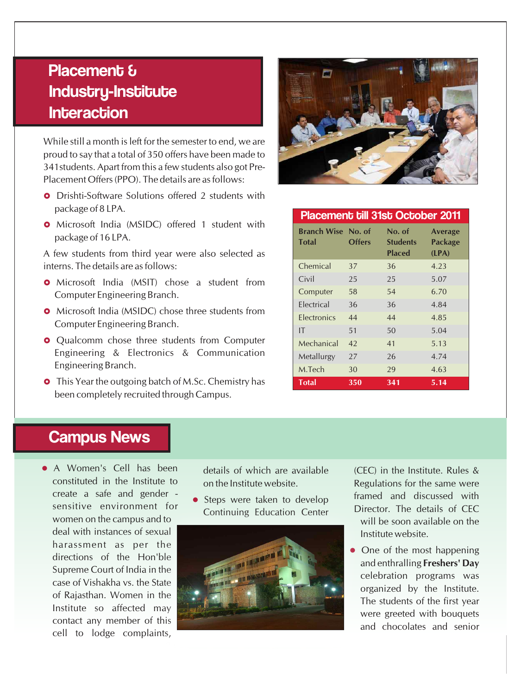## Placement & Industry-Institute **Interaction**

While still a month is left for the semester to end, we are proud to say that a total of 350 offers have been made to 341students. Apart from this a few students also got Pre-Placement Offers (PPO). The details are as follows:

- **•** Drishti-Software Solutions offered 2 students with package of 8 LPA.
- **o** Microsoft India (MSIDC) offered 1 student with package of 16 LPA.

A few students from third year were also selected as interns. The details are as follows:

- **•** Microsoft India (MSIT) chose a student from Computer Engineering Branch.
- **•** Microsoft India (MSIDC) chose three students from Computer Engineering Branch.
- **•** Qualcomm chose three students from Computer Engineering & Electronics & Communication Engineering Branch.
- **•** This Year the outgoing batch of M.Sc. Chemistry has been completely recruited through Campus.



#### Placement till 31st October 2011

| <b>Branch Wise No. of</b><br><b>Total</b> | <b>Offers</b> | No. of<br><b>Students</b><br><b>Placed</b> | <b>Average</b><br><b>Package</b><br>(LPA) |
|-------------------------------------------|---------------|--------------------------------------------|-------------------------------------------|
| Chemical                                  | 37            | 36                                         | 4.23                                      |
| Civil                                     | 25            | 25                                         | 5.07                                      |
| Computer                                  | 58            | 54                                         | 6.70                                      |
| <b>Flectrical</b>                         | 36            | 36                                         | 4.84                                      |
| Electronics                               | 44            | 44                                         | 4.85                                      |
| IT                                        | 51            | 50                                         | 5.04                                      |
| Mechanical                                | 42            | 41                                         | 5.13                                      |
| Metallurgy                                | 27            | 26                                         | 4.74                                      |
| M.Tech                                    | 30            | 29                                         | 4.63                                      |
| <b>Total</b>                              | 350           | 341                                        | 5.14                                      |

#### Campus News

• A Women's Cell has been A Women's Cell has been details of which are available (CEC) in the Institute. Rules &<br>constituted in the Institute to a non-positute website create a safe and gender women on the campus and to Supreme Court of India in the Institute so affected may cell to lodge complaints,

on the Institute website. Regulations for the same were



• Steps were taken to develop framed and discussed with sensitive environment for<br>
Continuing Education Center<br>
Director. The details of CEC<br>
will be soon available on the

> • One of the most happening celebration programs was were greeted with bouquets